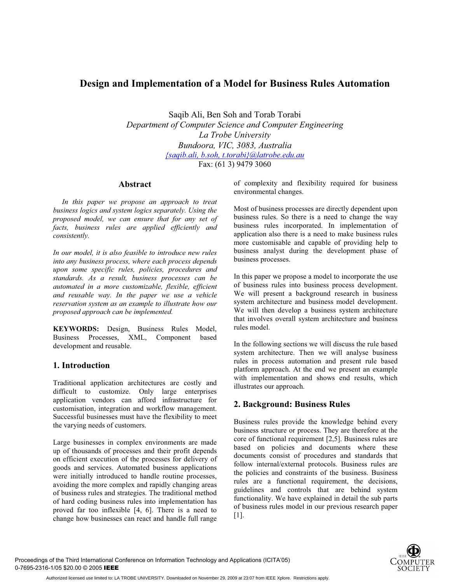# **Design and Implementation of a Model for Business Rules Automation**

Saqib Ali, Ben Soh and Torab Torabi *Department of Computer Science and Computer Engineering La Trobe University Bundoora, VIC, 3083, Australia {saqib.ali, b.soh, t.torabi}@latrobe.edu.au* Fax: (61 3) 9479 3060

#### **Abstract**

*In this paper we propose an approach to treat business logics and system logics separately. Using the proposed model, we can ensure that for any set of facts, business rules are applied efficiently and consistently.* 

*In our model, it is also feasible to introduce new rules into any business process, where each process depends upon some specific rules, policies, procedures and standards. As a result, business processes can be automated in a more customizable, flexible, efficient and reusable way. In the paper we use a vehicle reservation system as an example to illustrate how our proposed approach can be implemented.* 

**KEYWORDS:** Design, Business Rules Model, Business Processes, XML, Component based development and reusable.

### **1. Introduction**

Traditional application architectures are costly and difficult to customize. Only large enterprises application vendors can afford infrastructure for customisation, integration and workflow management. Successful businesses must have the flexibility to meet the varying needs of customers.

Large businesses in complex environments are made up of thousands of processes and their profit depends on efficient execution of the processes for delivery of goods and services. Automated business applications were initially introduced to handle routine processes, avoiding the more complex and rapidly changing areas of business rules and strategies. The traditional method of hard coding business rules into implementation has proved far too inflexible [4, 6]. There is a need to change how businesses can react and handle full range of complexity and flexibility required for business environmental changes.

Most of business processes are directly dependent upon business rules. So there is a need to change the way business rules incorporated. In implementation of application also there is a need to make business rules more customisable and capable of providing help to business analyst during the development phase of business processes.

In this paper we propose a model to incorporate the use of business rules into business process development. We will present a background research in business system architecture and business model development. We will then develop a business system architecture that involves overall system architecture and business rules model.

In the following sections we will discuss the rule based system architecture. Then we will analyse business rules in process automation and present rule based platform approach. At the end we present an example with implementation and shows end results, which illustrates our approach.

# **2. Background: Business Rules**

Business rules provide the knowledge behind every business structure or process. They are therefore at the core of functional requirement [2,5]. Business rules are based on policies and documents where these documents consist of procedures and standards that follow internal/external protocols. Business rules are the policies and constraints of the business. Business rules are a functional requirement, the decisions, guidelines and controls that are behind system functionality. We have explained in detail the sub parts of business rules model in our previous research paper [1].



Proceedings of the Third International Conference on Information Technology and Applications (ICITA'05) 0-7695-2316-1/05 \$20.00 © 2005 IEEE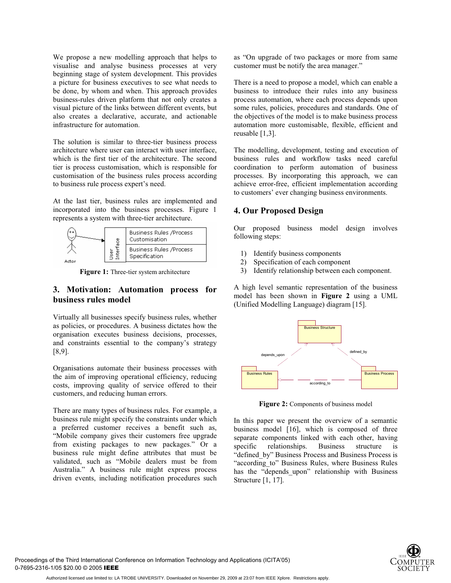We propose a new modelling approach that helps to visualise and analyse business processes at very beginning stage of system development. This provides a picture for business executives to see what needs to be done, by whom and when. This approach provides business-rules driven platform that not only creates a visual picture of the links between different events, but also creates a declarative, accurate, and actionable infrastructure for automation.

The solution is similar to three-tier business process architecture where user can interact with user interface, which is the first tier of the architecture. The second tier is process customisation, which is responsible for customisation of the business rules process according to business rule process expert's need.

At the last tier, business rules are implemented and incorporated into the business processes. Figure 1 represents a system with three-tier architecture.



**Figure 1:** Three-tier system architecture

### **3. Motivation: Automation process for business rules model**

Virtually all businesses specify business rules, whether as policies, or procedures. A business dictates how the organisation executes business decisions, processes, and constraints essential to the company's strategy [8,9].

Organisations automate their business processes with the aim of improving operational efficiency, reducing costs, improving quality of service offered to their customers, and reducing human errors.

There are many types of business rules. For example, a business rule might specify the constraints under which a preferred customer receives a benefit such as, "Mobile company gives their customers free upgrade from existing packages to new packages." Or a business rule might define attributes that must be validated, such as "Mobile dealers must be from Australia." A business rule might express process driven events, including notification procedures such

as "On upgrade of two packages or more from same customer must be notify the area manager."

There is a need to propose a model, which can enable a business to introduce their rules into any business process automation, where each process depends upon some rules, policies, procedures and standards. One of the objectives of the model is to make business process automation more customisable, flexible, efficient and reusable [1,3].

The modelling, development, testing and execution of business rules and workflow tasks need careful coordination to perform automation of business processes. By incorporating this approach, we can achieve error-free, efficient implementation according to customers' ever changing business environments.

# **4. Our Proposed Design**

Our proposed business model design involves following steps:

- 1) Identify business components
- 2) Specification of each component
- 3) Identify relationship between each component.

A high level semantic representation of the business model has been shown in **Figure 2** using a UML (Unified Modelling Language) diagram [15].



**Figure 2:** Components of business model

In this paper we present the overview of a semantic business model [16], which is composed of three separate components linked with each other, having specific relationships. Business structure is "defined by" Business Process and Business Process is "according\_to" Business Rules, where Business Rules has the "depends upon" relationship with Business Structure [1, 17].

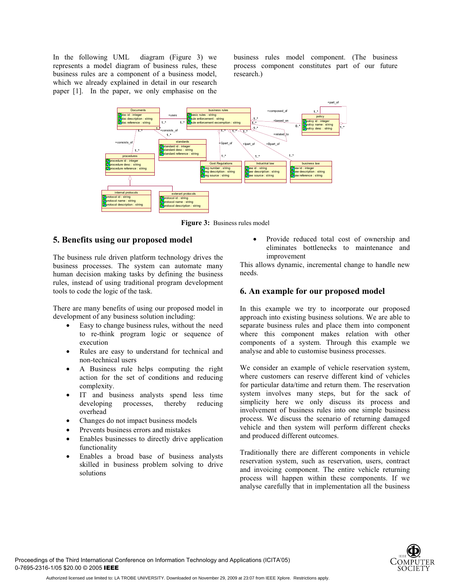In the following UML diagram (Figure 3) we represents a model diagram of business rules, these business rules are a component of a business model, which we already explained in detail in our research paper [1]. In the paper, we only emphasise on the

business rules model component. (The business process component constitutes part of our future research.)



**Figure 3:** Business rules model

### **5. Benefits using our proposed model**

The business rule driven platform technology drives the business processes. The system can automate many human decision making tasks by defining the business rules, instead of using traditional program development tools to code the logic of the task.

There are many benefits of using our proposed model in development of any business solution including:

- Easy to change business rules, without the need to re-think program logic or sequence of execution
- Rules are easy to understand for technical and non-technical users
- A Business rule helps computing the right action for the set of conditions and reducing complexity.
- IT and business analysts spend less time developing processes, thereby reducing overhead
- Changes do not impact business models
- Prevents business errors and mistakes
- Enables businesses to directly drive application functionality
- Enables a broad base of business analysts skilled in business problem solving to drive solutions

• Provide reduced total cost of ownership and eliminates bottlenecks to maintenance and improvement

This allows dynamic, incremental change to handle new needs.

### **6. An example for our proposed model**

In this example we try to incorporate our proposed approach into existing business solutions. We are able to separate business rules and place them into component where this component makes relation with other components of a system. Through this example we analyse and able to customise business processes.

We consider an example of vehicle reservation system, where customers can reserve different kind of vehicles for particular data/time and return them. The reservation system involves many steps, but for the sack of simplicity here we only discuss its process and involvement of business rules into one simple business process. We discuss the scenario of returning damaged vehicle and then system will perform different checks and produced different outcomes.

Traditionally there are different components in vehicle reservation system, such as reservation, users, contract and invoicing component. The entire vehicle returning process will happen within these components. If we analyse carefully that in implementation all the business

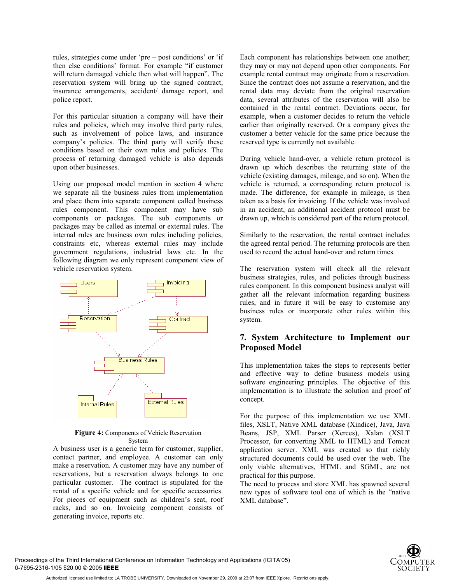rules, strategies come under 'pre – post conditions' or 'if then else conditions' format. For example "if customer will return damaged vehicle then what will happen". The reservation system will bring up the signed contract, insurance arrangements, accident/ damage report, and police report.

For this particular situation a company will have their rules and policies, which may involve third party rules, such as involvement of police laws, and insurance company's policies. The third party will verify these conditions based on their own rules and policies. The process of returning damaged vehicle is also depends upon other businesses.

Using our proposed model mention in section 4 where we separate all the business rules from implementation and place them into separate component called business rules component. This component may have sub components or packages. The sub components or packages may be called as internal or external rules. The internal rules are business own rules including policies, constraints etc, whereas external rules may include government regulations, industrial laws etc. In the following diagram we only represent component view of vehicle reservation system.



**Figure 4:** Components of Vehicle Reservation System

A business user is a generic term for customer, supplier, contact partner, and employee. A customer can only make a reservation. A customer may have any number of reservations, but a reservation always belongs to one particular customer. The contract is stipulated for the rental of a specific vehicle and for specific accessories. For pieces of equipment such as children's seat, roof racks, and so on. Invoicing component consists of generating invoice, reports etc.

Each component has relationships between one another; they may or may not depend upon other components. For example rental contract may originate from a reservation. Since the contract does not assume a reservation, and the rental data may deviate from the original reservation data, several attributes of the reservation will also be contained in the rental contract. Deviations occur, for example, when a customer decides to return the vehicle earlier than originally reserved. Or a company gives the customer a better vehicle for the same price because the reserved type is currently not available.

During vehicle hand-over, a vehicle return protocol is drawn up which describes the returning state of the vehicle (existing damages, mileage, and so on). When the vehicle is returned, a corresponding return protocol is made. The difference, for example in mileage, is then taken as a basis for invoicing. If the vehicle was involved in an accident, an additional accident protocol must be drawn up, which is considered part of the return protocol.

Similarly to the reservation, the rental contract includes the agreed rental period. The returning protocols are then used to record the actual hand-over and return times.

The reservation system will check all the relevant business strategies, rules, and policies through business rules component. In this component business analyst will gather all the relevant information regarding business rules, and in future it will be easy to customise any business rules or incorporate other rules within this system.

### **7. System Architecture to Implement our Proposed Model**

This implementation takes the steps to represents better and effective way to define business models using software engineering principles. The objective of this implementation is to illustrate the solution and proof of concept.

For the purpose of this implementation we use XML files, XSLT, Native XML database (Xindice), Java, Java Beans, JSP, XML Parser (Xerces), Xalan (XSLT Processor, for converting XML to HTML) and Tomcat application server. XML was created so that richly structured documents could be used over the web. The only viable alternatives, HTML and SGML, are not practical for this purpose.

The need to process and store XML has spawned several new types of software tool one of which is the "native XML database".

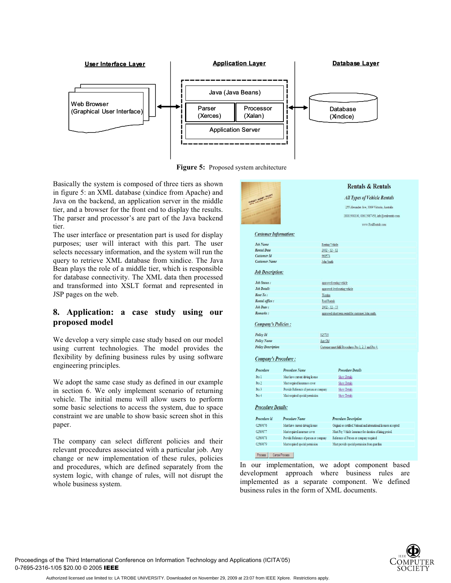

**Figure 5:** Proposed system architecture

Basically the system is composed of three tiers as shown in figure 5: an XML database (xindice from Apache) and Java on the backend, an application server in the middle tier, and a browser for the front end to display the results. The parser and processor's are part of the Java backend tier.

The user interface or presentation part is used for display purposes; user will interact with this part. The user selects necessary information, and the system will run the query to retrieve XML database from xindice. The Java Bean plays the role of a middle tier, which is responsible for database connectivity. The XML data then processed and transformed into XSLT format and represented in JSP pages on the web.

# **8. Application: a case study using our proposed model**

We develop a very simple case study based on our model using current technologies. The model provides the flexibility by defining business rules by using software engineering principles.

We adopt the same case study as defined in our example in section 6. We only implement scenario of returning vehicle. The initial menu will allow users to perform some basic selections to access the system, due to space constraint we are unable to show basic screen shot in this paper.

The company can select different policies and their relevant procedures associated with a particular job. Any change or new implementation of these rules, policies and procedures, which are defined separately from the system logic, with change of rules, will not disrupt the whole business system.

|                                                                                                                    |                                                                    |                                     | <b>Rentals &amp; Rentals</b>                                                                                                    |  |
|--------------------------------------------------------------------------------------------------------------------|--------------------------------------------------------------------|-------------------------------------|---------------------------------------------------------------------------------------------------------------------------------|--|
| LARNEST MONEY RECEIPT                                                                                              |                                                                    | <b>All Types of Vehicle Rentals</b> |                                                                                                                                 |  |
|                                                                                                                    |                                                                    |                                     | 255 Alexander Ave, 3069 Victoria, Australia                                                                                     |  |
|                                                                                                                    |                                                                    |                                     | 18001900100, 00613987458, info@realrentals.com                                                                                  |  |
|                                                                                                                    |                                                                    |                                     | www.RealRentals.com                                                                                                             |  |
| <b>Customer Information:</b>                                                                                       |                                                                    |                                     |                                                                                                                                 |  |
| <b>Job Name</b>                                                                                                    |                                                                    | Renting Vehicle                     |                                                                                                                                 |  |
| <b>Rental Date</b>                                                                                                 |                                                                    | $2002 - 12 - 12$                    |                                                                                                                                 |  |
| <b>Customer Id</b>                                                                                                 |                                                                    | 968574                              |                                                                                                                                 |  |
| <b>Customer Name</b>                                                                                               |                                                                    | John Smith                          |                                                                                                                                 |  |
| <b>Job Description:</b>                                                                                            |                                                                    |                                     |                                                                                                                                 |  |
| Job Status:                                                                                                        |                                                                    |                                     | approved renting vehicle                                                                                                        |  |
| <b>Job Detail:</b>                                                                                                 |                                                                    |                                     | approved 4wd renting vehicle                                                                                                    |  |
| Rent To:                                                                                                           |                                                                    | Westins                             |                                                                                                                                 |  |
| Rental office:                                                                                                     |                                                                    | <b>Real Rentals</b>                 |                                                                                                                                 |  |
| Job Date:                                                                                                          |                                                                    | $2002 - 12 - 13$                    |                                                                                                                                 |  |
| Remarks:                                                                                                           |                                                                    |                                     | approved short term rental for customer John smith.                                                                             |  |
| <b>Company's Policies:</b>                                                                                         |                                                                    |                                     |                                                                                                                                 |  |
|                                                                                                                    |                                                                    |                                     |                                                                                                                                 |  |
| Policy Id                                                                                                          |                                                                    | 025703                              |                                                                                                                                 |  |
|                                                                                                                    |                                                                    | Age Old                             |                                                                                                                                 |  |
|                                                                                                                    |                                                                    |                                     | Customer must fulfil Procedures Pro 1, 2, 3 and Pro 4.                                                                          |  |
| <b>Policy Name</b><br><b>Policy Description</b><br>Company's Procedure:                                            |                                                                    |                                     |                                                                                                                                 |  |
|                                                                                                                    | <b>Procedure Name</b>                                              |                                     | <b>Procedure Details</b>                                                                                                        |  |
|                                                                                                                    | Must have current driving license                                  |                                     | <b>Show Details</b>                                                                                                             |  |
|                                                                                                                    | Must required insurance cover                                      |                                     | <b>Show Details</b>                                                                                                             |  |
|                                                                                                                    | Provide Reference of person or company                             |                                     | <b>Show Details</b>                                                                                                             |  |
|                                                                                                                    | Must required special permission                                   |                                     | <b>Show Details</b>                                                                                                             |  |
|                                                                                                                    |                                                                    |                                     |                                                                                                                                 |  |
|                                                                                                                    | <b>Procedure Name</b>                                              |                                     | <b>Procedure Description</b>                                                                                                    |  |
|                                                                                                                    |                                                                    |                                     |                                                                                                                                 |  |
| Procedure<br>Pro 1<br>Pro 2<br>Pro 3<br>Pro 4<br><b>Procedure Details:</b><br>Procedure id<br>02569876<br>02569877 | Must have current driving license<br>Must required insurense cover |                                     | Original or certified National and international licenses accepted<br>Must Pay Vehicle Insurance for duration of hiring period. |  |
| 02569878                                                                                                           | Provide Reference of person or company                             |                                     | Reference of Person or company required                                                                                         |  |

In our implementation, we adopt component based development approach where business rules are implemented as a separate component. We defined business rules in the form of XML documents.



Proceedings of the Third International Conference on Information Technology and Applications (ICITA'05) 0-7695-2316-1/05 \$20.00 © 2005 IEEE